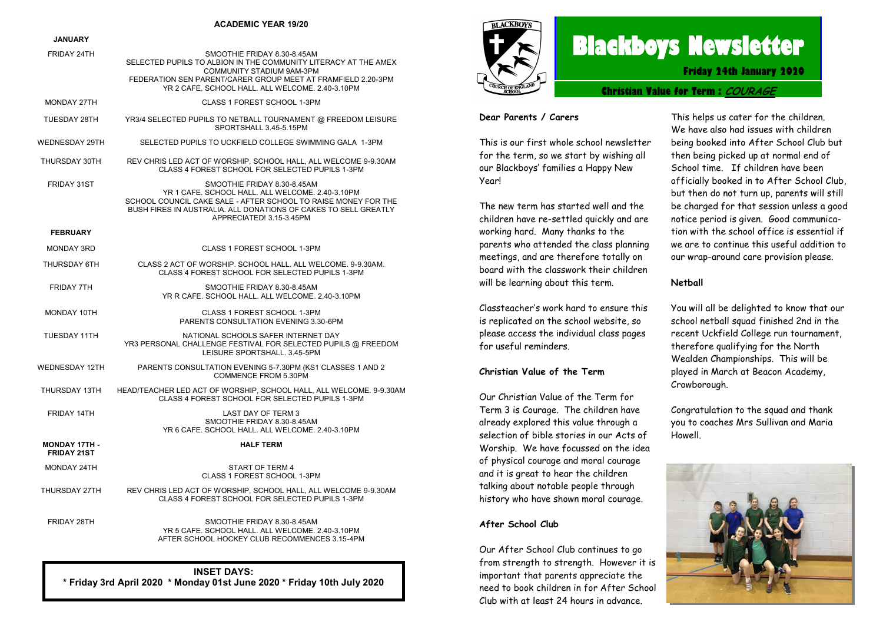#### **ACADEMIC YEAR 19/20**

#### **JANUARY**

| FRIDAY 24TH                                | SMOOTHIE FRIDAY 8.30-8.45AM<br>SELECTED PUPILS TO ALBION IN THE COMMUNITY LITERACY AT THE AMEX<br>COMMUNITY STADIUM 9AM-3PM<br>FEDERATION SEN PARENT/CARER GROUP MEET AT FRAMFIELD 2.20-3PM<br>YR 2 CAFE, SCHOOL HALL, ALL WELCOME, 2.40-3.10PM  |
|--------------------------------------------|--------------------------------------------------------------------------------------------------------------------------------------------------------------------------------------------------------------------------------------------------|
| MONDAY 27TH                                | CLASS 1 FOREST SCHOOL 1-3PM                                                                                                                                                                                                                      |
| TUESDAY 28TH                               | YR3/4 SELECTED PUPILS TO NETBALL TOURNAMENT @ FREEDOM LEISURE<br>SPORTSHALL 3.45-5.15PM                                                                                                                                                          |
| WEDNESDAY 29TH                             | SELECTED PUPILS TO UCKFIELD COLLEGE SWIMMING GALA 1-3PM                                                                                                                                                                                          |
| THURSDAY 30TH                              | REV CHRIS LED ACT OF WORSHIP, SCHOOL HALL, ALL WELCOME 9-9.30AM<br>CLASS 4 FOREST SCHOOL FOR SELECTED PUPILS 1-3PM                                                                                                                               |
| FRIDAY 31ST                                | SMOOTHIE FRIDAY 8.30-8.45AM<br>YR 1 CAFE. SCHOOL HALL. ALL WELCOME. 2.40-3.10PM<br>SCHOOL COUNCIL CAKE SALE - AFTER SCHOOL TO RAISE MONEY FOR THE<br>BUSH FIRES IN AUSTRALIA. ALL DONATIONS OF CAKES TO SELL GREATLY<br>APPRECIATED! 3.15-3.45PM |
| <b>FEBRUARY</b>                            |                                                                                                                                                                                                                                                  |
| <b>MONDAY 3RD</b>                          | CLASS 1 FOREST SCHOOL 1-3PM                                                                                                                                                                                                                      |
| THURSDAY 6TH                               | CLASS 2 ACT OF WORSHIP. SCHOOL HALL. ALL WELCOME. 9-9.30AM.<br>CLASS 4 FOREST SCHOOL FOR SELECTED PUPILS 1-3PM                                                                                                                                   |
| <b>FRIDAY 7TH</b>                          | SMOOTHIE FRIDAY 8.30-8.45AM<br>YR R CAFE, SCHOOL HALL, ALL WELCOME, 2.40-3.10PM                                                                                                                                                                  |
| MONDAY 10TH                                | CLASS 1 FOREST SCHOOL 1-3PM<br>PARENTS CONSULTATION EVENING 3.30-6PM                                                                                                                                                                             |
| <b>TUESDAY 11TH</b>                        | NATIONAL SCHOOLS SAFER INTERNET DAY<br>YR3 PERSONAL CHALLENGE FESTIVAL FOR SELECTED PUPILS @ FREEDOM<br>LEISURE SPORTSHALL. 3.45-5PM                                                                                                             |
| <b>WEDNESDAY 12TH</b>                      | PARENTS CONSULTATION EVENING 5-7.30PM (KS1 CLASSES 1 AND 2<br>COMMENCE FROM 5.30PM                                                                                                                                                               |
| THURSDAY 13TH                              | HEAD/TEACHER LED ACT OF WORSHIP, SCHOOL HALL, ALL WELCOME. 9-9.30AM<br>CLASS 4 FOREST SCHOOL FOR SELECTED PUPILS 1-3PM                                                                                                                           |
| FRIDAY 14TH                                | LAST DAY OF TERM 3<br>SMOOTHIE FRIDAY 8.30-8.45AM<br>YR 6 CAFE, SCHOOL HALL, ALL WELCOME, 2.40-3.10PM                                                                                                                                            |
| <b>MONDAY 17TH -</b><br><b>FRIDAY 21ST</b> | <b>HALF TERM</b>                                                                                                                                                                                                                                 |
| <b>MONDAY 24TH</b>                         | START OF TERM 4<br>CLASS 1 FOREST SCHOOL 1-3PM                                                                                                                                                                                                   |
| THURSDAY 27TH                              | REV CHRIS LED ACT OF WORSHIP, SCHOOL HALL, ALL WELCOME 9-9.30AM<br>CLASS 4 FOREST SCHOOL FOR SELECTED PUPILS 1-3PM                                                                                                                               |
| FRIDAY 28TH                                | SMOOTHIE FRIDAY 8.30-8.45AM<br>YR 5 CAFE, SCHOOL HALL, ALL WELCOME, 2.40-3.10PM                                                                                                                                                                  |



# **Blackboys Newsletter**

**Friday 24th January 2020**

**Christian Value for Term : COURAGE**

#### **Dear Parents / Carers**

This is our first whole school newsletter for the term, so we start by wishing all our Blackboys' families a Happy New Year!

The new term has started well and the children have re-settled quickly and are working hard. Many thanks to the parents who attended the class planning meetings, and are therefore totally on board with the classwork their children will be learning about this term.

Classteacher's work hard to ensure this is replicated on the school website, so please access the individual class pages for useful reminders.

#### **Christian Value of the Term**

Our Christian Value of the Term for Term 3 is Courage. The children have already explored this value through a selection of bible stories in our Acts of Worship. We have focussed on the idea of physical courage and moral courage and it is great to hear the children talking about notable people through history who have shown moral courage.

#### **After School Club**

Our After School Club continues to go from strength to strength. However it is important that parents appreciate the need to book children in for After School Club with at least 24 hours in advance.

This helps us cater for the children. We have also had issues with children being booked into After School Club but then being picked up at normal end of School time. If children have been officially booked in to After School Club, but then do not turn up, parents will still be charged for that session unless a good notice period is given. Good communication with the school office is essential if we are to continue this useful addition to our wrap-around care provision please.

#### **Netball**

You will all be delighted to know that our school netball squad finished 2nd in the recent Uckfield College run tournament, therefore qualifying for the North Wealden Championships. This will be played in March at Beacon Academy, Crowborough.

Congratulation to the squad and thank you to coaches Mrs Sullivan and Maria Howell.



**INSET DAYS: \* Friday 3rd April 2020 \* Monday 01st June 2020 \* Friday 10th July 2020**

AFTER SCHOOL HOCKEY CLUB RECOMMENCES 3.15-4PM